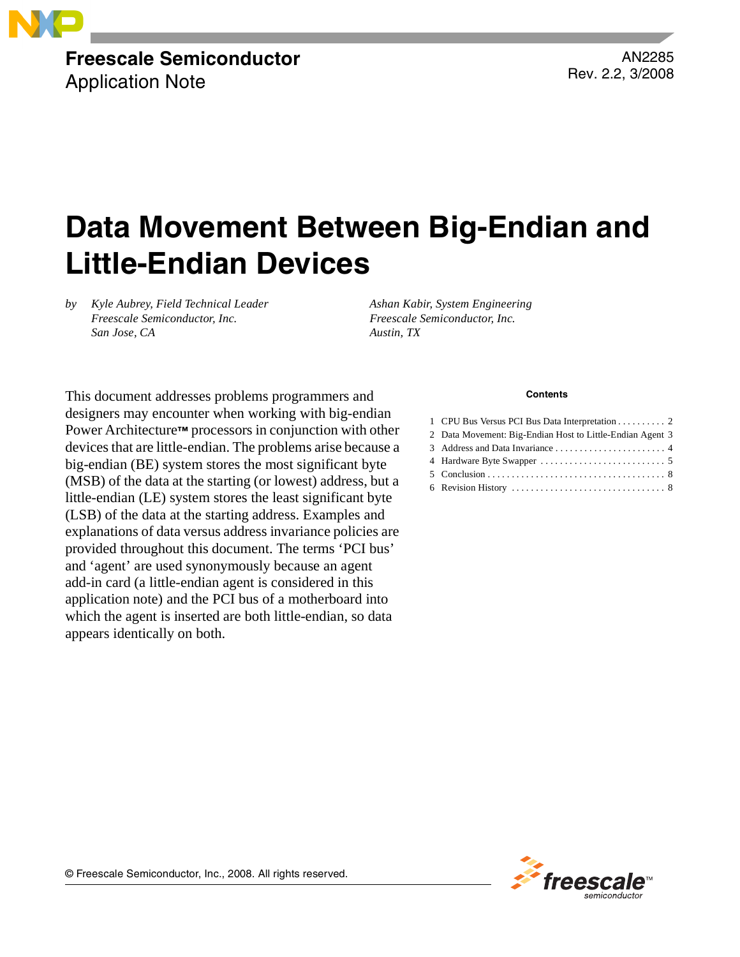

AN2285 Rev. 2.2, 3/2008

# **Data Movement Between Big-Endian and Little-Endian Devices**

*by* Kyle Aubrey, Field Technical Leader **Ashan Kabir, System Engineering** *Freescale Semiconductor, Inc. Freescale Semiconductor, Inc. San Jose, CA Austin, TX* 

This document addresses problems programmers and designers may encounter when working with big-endian Power Architecture**™** processors in conjunction with other devices that are little-endian. The problems arise because a big-endian (BE) system stores the most significant byte (MSB) of the data at the starting (or lowest) address, but a little-endian (LE) system stores the least significant byte (LSB) of the data at the starting address. Examples and explanations of data versus address invariance policies are provided throughout this document. The terms 'PCI bus' and 'agent' are used synonymously because an agent add-in card (a little-endian agent is considered in this application note) and the PCI bus of a motherboard into which the agent is inserted are both little-endian, so data appears identically on both.

### **Contents**

| 1 CPU Bus Versus PCI Bus Data Interpretation 2            |
|-----------------------------------------------------------|
| 2 Data Movement: Big-Endian Host to Little-Endian Agent 3 |
|                                                           |
|                                                           |
|                                                           |
|                                                           |



© Freescale Semiconductor, Inc., 2008. All rights reserved.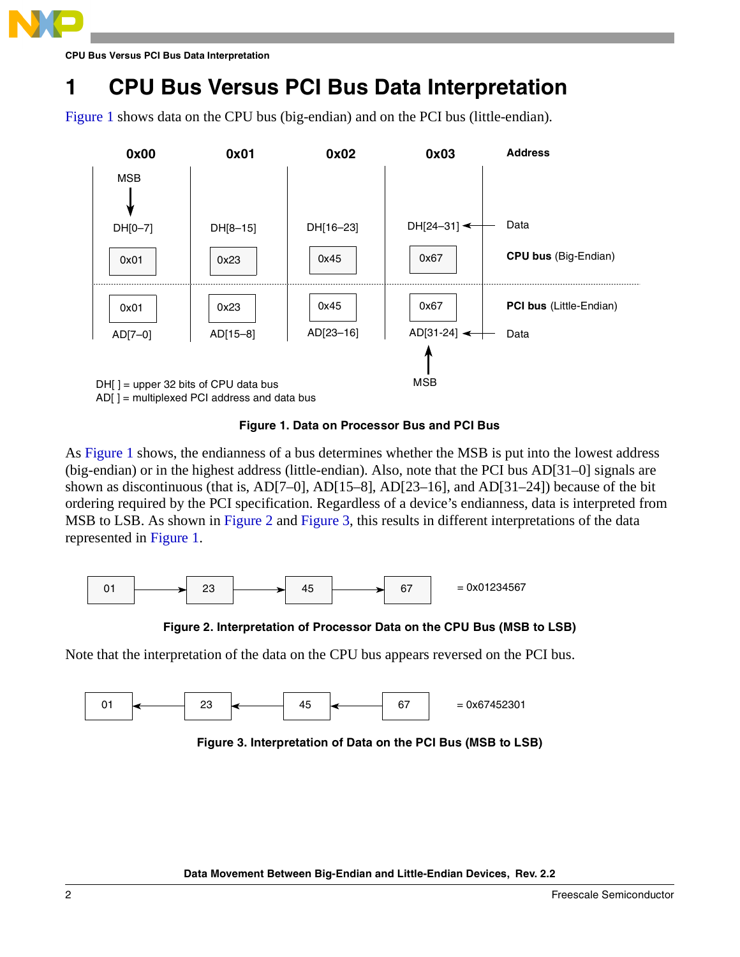

**CPU Bus Versus PCI Bus Data Interpretation**

# <span id="page-1-0"></span>**1 CPU Bus Versus PCI Bus Data Interpretation**

[Figure 1](#page-1-1) shows data on the CPU bus (big-endian) and on the PCI bus (little-endian).



**Figure 1. Data on Processor Bus and PCI Bus**

<span id="page-1-1"></span>As [Figure 1](#page-1-1) shows, the endianness of a bus determines whether the MSB is put into the lowest address (big-endian) or in the highest address (little-endian). Also, note that the PCI bus AD[31–0] signals are shown as discontinuous (that is, AD[7–0], AD[15–8], AD[23–16], and AD[31–24]) because of the bit ordering required by the PCI specification. Regardless of a device's endianness, data is interpreted from MSB to LSB. As shown in [Figure 2](#page-1-2) and [Figure 3](#page-1-3), this results in different interpretations of the data represented in [Figure 1.](#page-1-1)





<span id="page-1-2"></span>Note that the interpretation of the data on the CPU bus appears reversed on the PCI bus.

<span id="page-1-3"></span>

**Figure 3. Interpretation of Data on the PCI Bus (MSB to LSB)**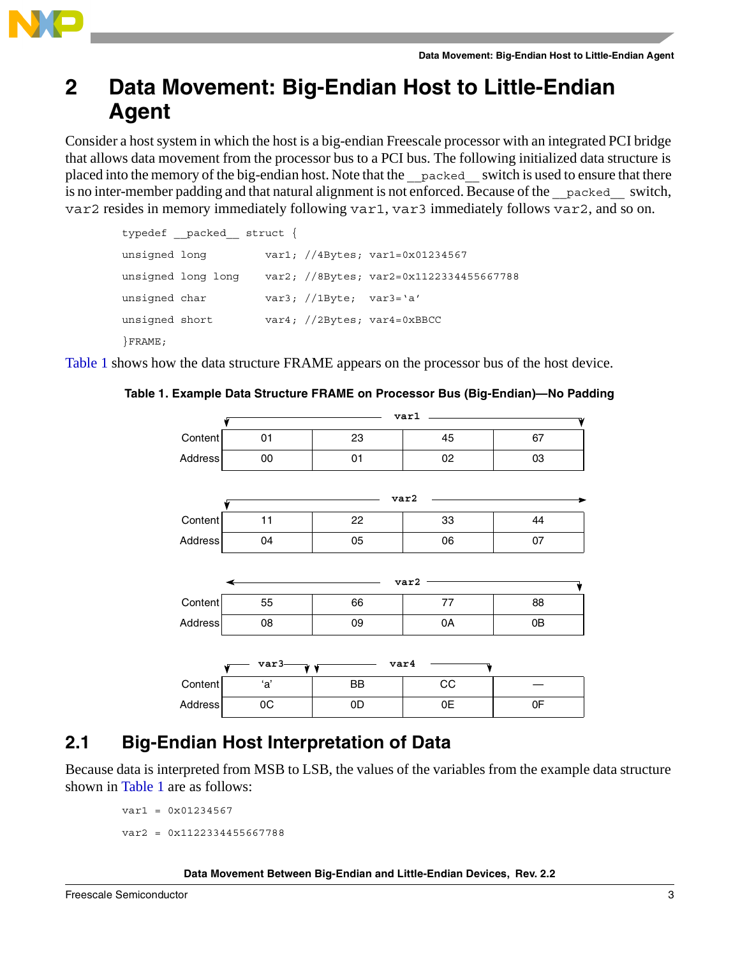

# <span id="page-2-0"></span>**2 Data Movement: Big-Endian Host to Little-Endian Agent**

Consider a host system in which the host is a big-endian Freescale processor with an integrated PCI bridge that allows data movement from the processor bus to a PCI bus. The following initialized data structure is placed into the memory of the big-endian host. Note that the packed switch is used to ensure that there is no inter-member padding and that natural alignment is not enforced. Because of the packed switch, var2 resides in memory immediately following var1, var3 immediately follows var2, and so on.

```
typedef packed struct {
unsigned long var1; //4Bytes; var1=0x01234567
unsigned long long var2; //8Bytes; var2=0x1122334455667788
unsigned char var3; //1Byte; var3='a'
unsigned short var4; //2Bytes; var4=0xBBCC
}FRAME;
```
<span id="page-2-1"></span>[Table 1](#page-2-1) shows how the data structure FRAME appears on the processor bus of the host device.

|                |      |    | var1 |    |
|----------------|------|----|------|----|
| Content        | 01   | 23 | 45   | 67 |
| Address        | 00   | 01 | 02   | 03 |
|                |      |    |      |    |
|                |      |    | var2 |    |
| Content        | 11   | 22 | 33   | 44 |
| Address        | 04   | 05 | 06   | 07 |
|                |      |    |      |    |
|                |      |    | var2 |    |
| Content        | 55   | 66 | 77   | 88 |
| Address        | 08   | 09 | 0A   | 0B |
|                |      |    |      |    |
|                | var3 | Ý  | var4 |    |
| Content        | a'   | BB | CC   |    |
| <b>Address</b> | OC   | 0D | 0E   | 0F |

### **Table 1. Example Data Structure FRAME on Processor Bus (Big-Endian)—No Padding**

## **2.1 Big-Endian Host Interpretation of Data**

Because data is interpreted from MSB to LSB, the values of the variables from the example data structure shown in [Table 1](#page-2-1) are as follows:

```
var1 = 0x01234567
var2 = 0x1122334455667788
```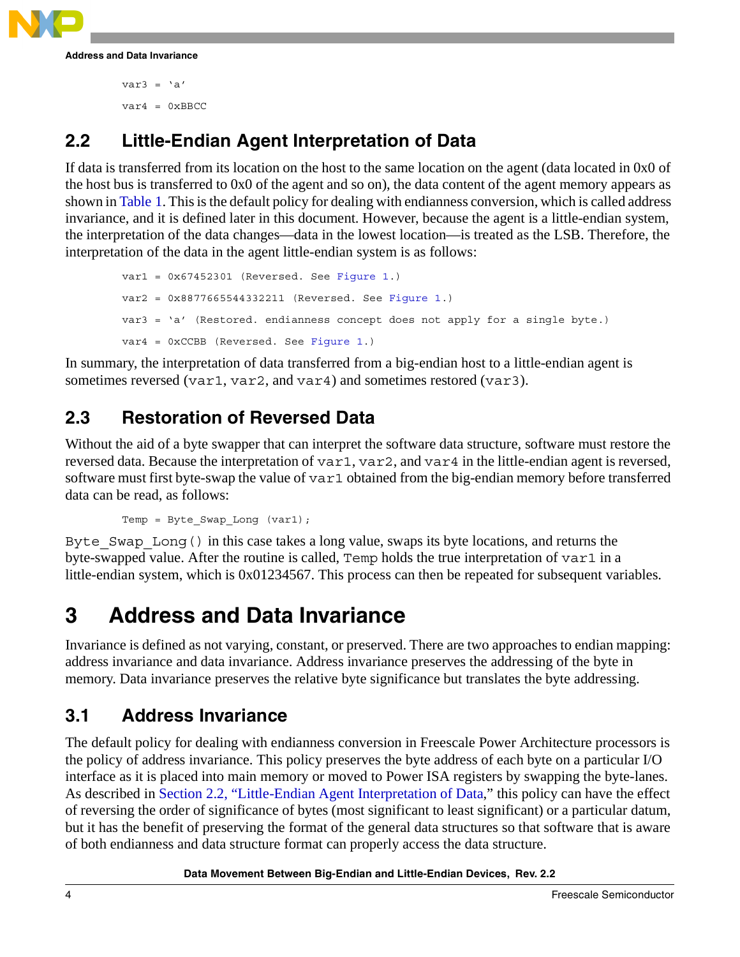

**Address and Data Invariance**

```
var3 = 'a'var4 = 0xBBCC
```
## <span id="page-3-1"></span>**2.2 Little-Endian Agent Interpretation of Data**

If data is transferred from its location on the host to the same location on the agent (data located in 0x0 of the host bus is transferred to 0x0 of the agent and so on), the data content of the agent memory appears as shown in [Table 1](#page-2-1). This is the default policy for dealing with endianness conversion, which is called address invariance, and it is defined later in this document. However, because the agent is a little-endian system, the interpretation of the data changes—data in the lowest location—is treated as the LSB. Therefore, the interpretation of the data in the agent little-endian system is as follows:

```
var1 = 0x67452301 (Reversed. See Figure 1.)
var2 = 0x8877665544332211 (Reversed. See Figure 1.)
var3 = 'a' (Restored. endianness concept does not apply for a single byte.)
var4 = 0xCCBB (Reversed. See Figure 1.)
```
In summary, the interpretation of data transferred from a big-endian host to a little-endian agent is sometimes reversed (var1, var2, and var4) and sometimes restored (var3).

## **2.3 Restoration of Reversed Data**

Without the aid of a byte swapper that can interpret the software data structure, software must restore the reversed data. Because the interpretation of var1, var2, and var4 in the little-endian agent is reversed, software must first byte-swap the value of var1 obtained from the big-endian memory before transferred data can be read, as follows:

Temp = Byte Swap Long (var1);

Byte Swap Long() in this case takes a long value, swaps its byte locations, and returns the byte-swapped value. After the routine is called, Temp holds the true interpretation of var1 in a little-endian system, which is 0x01234567. This process can then be repeated for subsequent variables.

# <span id="page-3-0"></span>**3 Address and Data Invariance**

Invariance is defined as not varying, constant, or preserved. There are two approaches to endian mapping: address invariance and data invariance. Address invariance preserves the addressing of the byte in memory. Data invariance preserves the relative byte significance but translates the byte addressing.

## **3.1 Address Invariance**

The default policy for dealing with endianness conversion in Freescale Power Architecture processors is the policy of address invariance. This policy preserves the byte address of each byte on a particular I/O interface as it is placed into main memory or moved to Power ISA registers by swapping the byte-lanes. As described in [Section 2.2, "Little-Endian Agent Interpretation of Data](#page-3-1)," this policy can have the effect of reversing the order of significance of bytes (most significant to least significant) or a particular datum, but it has the benefit of preserving the format of the general data structures so that software that is aware of both endianness and data structure format can properly access the data structure.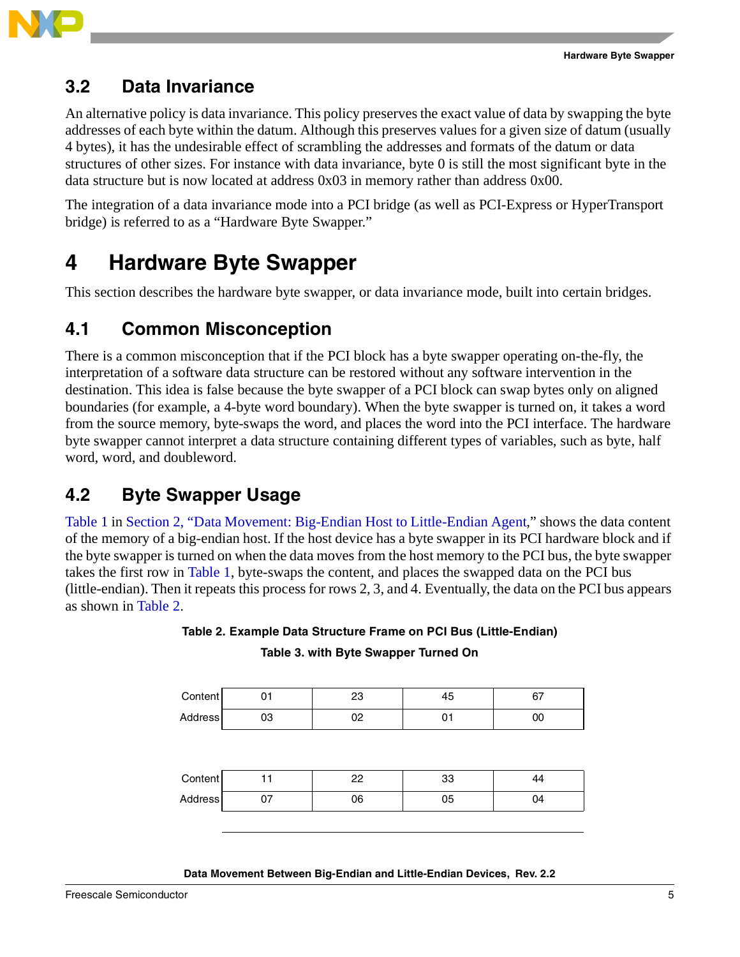



## **3.2 Data Invariance**

An alternative policy is data invariance. This policy preserves the exact value of data by swapping the byte addresses of each byte within the datum. Although this preserves values for a given size of datum (usually 4 bytes), it has the undesirable effect of scrambling the addresses and formats of the datum or data structures of other sizes. For instance with data invariance, byte 0 is still the most significant byte in the data structure but is now located at address 0x03 in memory rather than address 0x00.

The integration of a data invariance mode into a PCI bridge (as well as PCI-Express or HyperTransport bridge) is referred to as a "Hardware Byte Swapper."

# <span id="page-4-0"></span>**4 Hardware Byte Swapper**

This section describes the hardware byte swapper, or data invariance mode, built into certain bridges.

## **4.1 Common Misconception**

There is a common misconception that if the PCI block has a byte swapper operating on-the-fly, the interpretation of a software data structure can be restored without any software intervention in the destination. This idea is false because the byte swapper of a PCI block can swap bytes only on aligned boundaries (for example, a 4-byte word boundary). When the byte swapper is turned on, it takes a word from the source memory, byte-swaps the word, and places the word into the PCI interface. The hardware byte swapper cannot interpret a data structure containing different types of variables, such as byte, half word, word, and doubleword.

## **4.2 Byte Swapper Usage**

<span id="page-4-1"></span>[Table 1](#page-2-1) in [Section 2, "Data Movement: Big-Endian Host to Little-Endian Agent,](#page-2-0)" shows the data content of the memory of a big-endian host. If the host device has a byte swapper in its PCI hardware block and if the byte swapper is turned on when the data moves from the host memory to the PCI bus, the byte swapper takes the first row in [Table 1](#page-2-1), byte-swaps the content, and places the swapped data on the PCI bus (little-endian). Then it repeats this process for rows 2, 3, and 4. Eventually, the data on the PCI bus appears as shown in [Table 2](#page-4-1).

**Table 2. Example Data Structure Frame on PCI Bus (Little-Endian) Table 3. with Byte Swapper Turned On**

| Content        |    | nr<br>دے | 45 | ~-<br>U, |
|----------------|----|----------|----|----------|
| <b>Address</b> | 03 | ∼<br>ັ   |    | 00       |

| Content        |    |    | ຈຈ<br>ບບ |    |
|----------------|----|----|----------|----|
| <b>Address</b> | ັັ | 06 | 05       | 04 |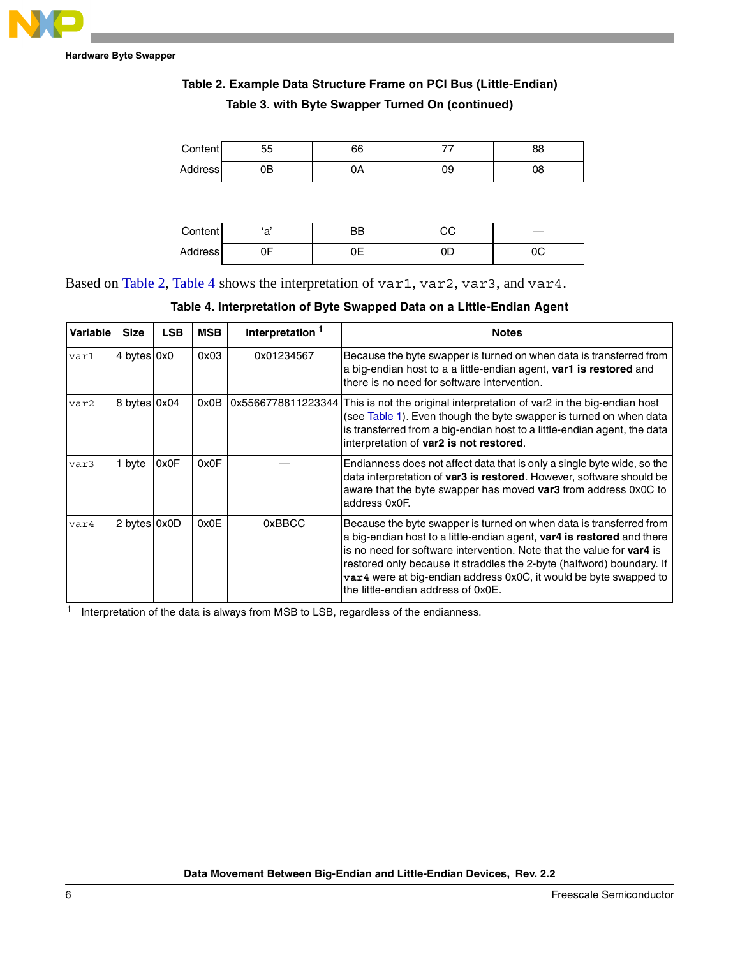

**Hardware Byte Swapper**

## **Table 2. Example Data Structure Frame on PCI Bus (Little-Endian) Table 3. with Byte Swapper Turned On (continued)**

| Content | 55 | 66 |    | 88 |
|---------|----|----|----|----|
| Address | 0Β | 0Α | 09 | 08 |

| Content        | $\ddot{\phantom{0}}$<br>a | DD<br>םכ | ~~<br>◡◡ |    |
|----------------|---------------------------|----------|----------|----|
| <b>Address</b> | v.                        | า⊏<br>◡∟ | 0D       | 0С |

<span id="page-5-0"></span>Based on [Table 2,](#page-4-1) [Table 4](#page-5-0) shows the interpretation of var1, var2, var3, and var4.

## **Table 4. Interpretation of Byte Swapped Data on a Little-Endian Agent**

| <b>Variable</b> | <b>Size</b>  | <b>LSB</b> | <b>MSB</b> | Interpretation <sup>1</sup> | <b>Notes</b>                                                                                                                                                                                                                                                                                                                                                                                               |
|-----------------|--------------|------------|------------|-----------------------------|------------------------------------------------------------------------------------------------------------------------------------------------------------------------------------------------------------------------------------------------------------------------------------------------------------------------------------------------------------------------------------------------------------|
| var1            | 4 bytes 0x0  |            | 0x03       | 0x01234567                  | Because the byte swapper is turned on when data is transferred from<br>a big-endian host to a a little-endian agent, var1 is restored and<br>there is no need for software intervention.                                                                                                                                                                                                                   |
| var2            | 8 bytes 0x04 |            | 0x0B       |                             | 0x5566778811223344 This is not the original interpretation of var2 in the big-endian host<br>(see Table 1). Even though the byte swapper is turned on when data<br>is transferred from a big-endian host to a little-endian agent, the data<br>interpretation of var2 is not restored.                                                                                                                     |
| var3            | 1 byte       | 0x0F       | 0x0F       |                             | Endianness does not affect data that is only a single byte wide, so the<br>data interpretation of var3 is restored. However, software should be<br>aware that the byte swapper has moved var3 from address 0x0C to<br>address 0x0F.                                                                                                                                                                        |
| var4            | 2 bytes 0x0D |            | 0x0E       | 0xBBCC                      | Because the byte swapper is turned on when data is transferred from<br>a big-endian host to a little-endian agent, var4 is restored and there<br>is no need for software intervention. Note that the value for var4 is<br>restored only because it straddles the 2-byte (halfword) boundary. If<br>var4 were at big-endian address 0x0C, it would be byte swapped to<br>the little-endian address of 0x0E. |

 $\overline{1}$  Interpretation of the data is always from MSB to LSB, regardless of the endianness.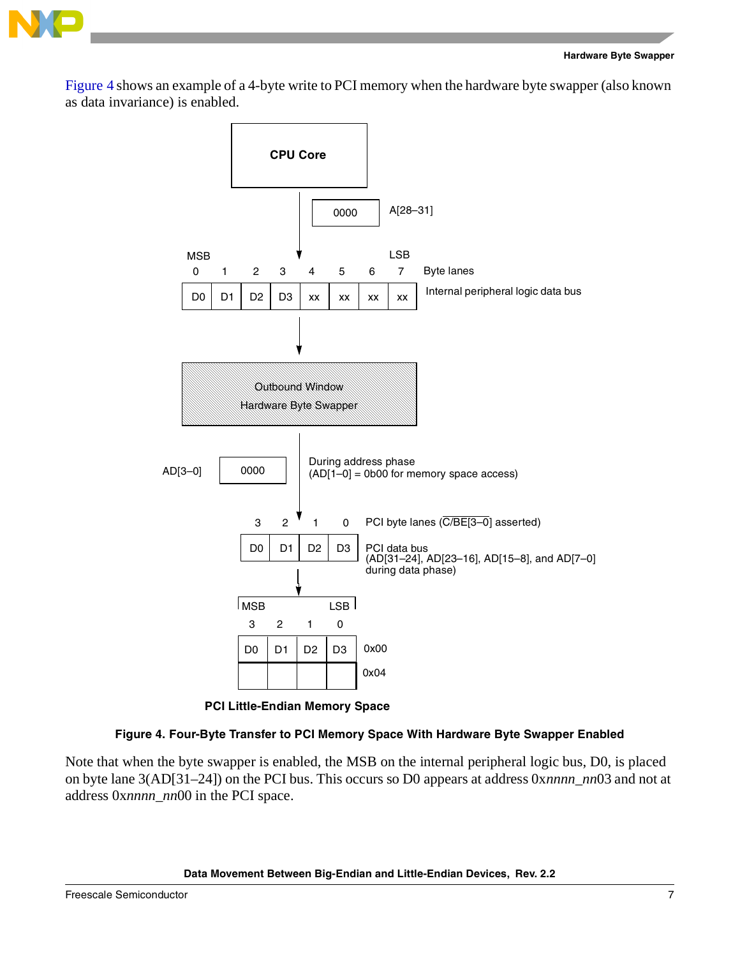

[Figure 4](#page-6-0) shows an example of a 4-byte write to PCI memory when the hardware byte swapper (also known as data invariance) is enabled.



**PCI Little-Endian Memory Space**

### **Figure 4. Four-Byte Transfer to PCI Memory Space With Hardware Byte Swapper Enabled**

<span id="page-6-0"></span>Note that when the byte swapper is enabled, the MSB on the internal peripheral logic bus, D0, is placed on byte lane 3(AD[31–24]) on the PCI bus. This occurs so D0 appears at address 0x*nnnn*\_*nn*03 and not at address 0x*nnnn*\_*nn*00 in the PCI space.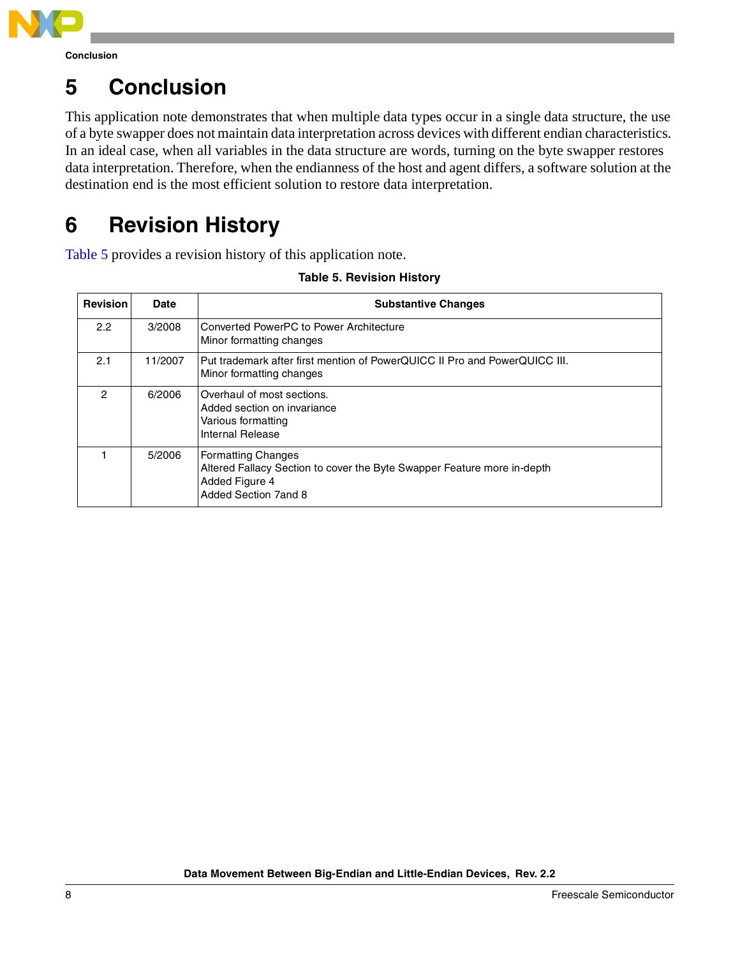

# <span id="page-7-0"></span>**5 Conclusion**

This application note demonstrates that when multiple data types occur in a single data structure, the use of a byte swapper does not maintain data interpretation across devices with different endian characteristics. In an ideal case, when all variables in the data structure are words, turning on the byte swapper restores data interpretation. Therefore, when the endianness of the host and agent differs, a software solution at the destination end is the most efficient solution to restore data interpretation.

# <span id="page-7-1"></span>**6 Revision History**

<span id="page-7-2"></span>[Table 5](#page-7-2) provides a revision history of this application note.

|  |  | <b>Table 5. Revision History</b> |  |
|--|--|----------------------------------|--|
|--|--|----------------------------------|--|

| <b>Revision</b> | <b>Date</b> | <b>Substantive Changes</b>                                                                                                                     |
|-----------------|-------------|------------------------------------------------------------------------------------------------------------------------------------------------|
| $2.2^{\circ}$   | 3/2008      | Converted PowerPC to Power Architecture<br>Minor formatting changes                                                                            |
| 2.1             | 11/2007     | Put trademark after first mention of PowerQUICC II Pro and PowerQUICC III.<br>Minor formatting changes                                         |
| 2               | 6/2006      | Overhaul of most sections.<br>Added section on invariance<br>Various formatting<br>Internal Release                                            |
|                 | 5/2006      | <b>Formatting Changes</b><br>Altered Fallacy Section to cover the Byte Swapper Feature more in-depth<br>Added Figure 4<br>Added Section 7and 8 |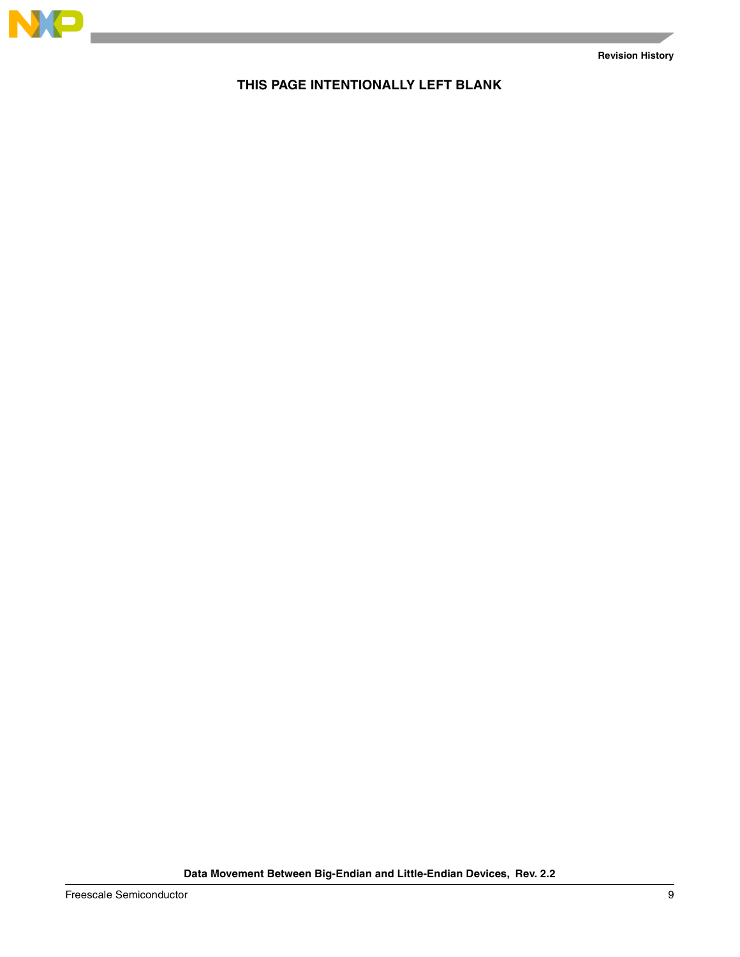

## **THIS PAGE INTENTIONALLY LEFT BLANK**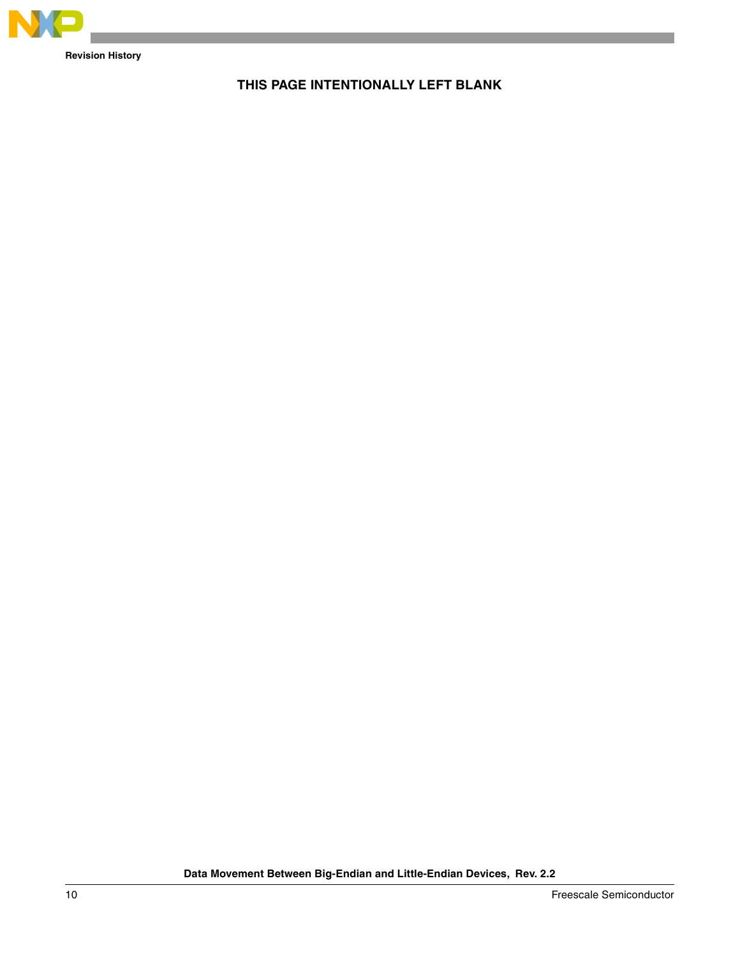

**Revision History**

## **THIS PAGE INTENTIONALLY LEFT BLANK**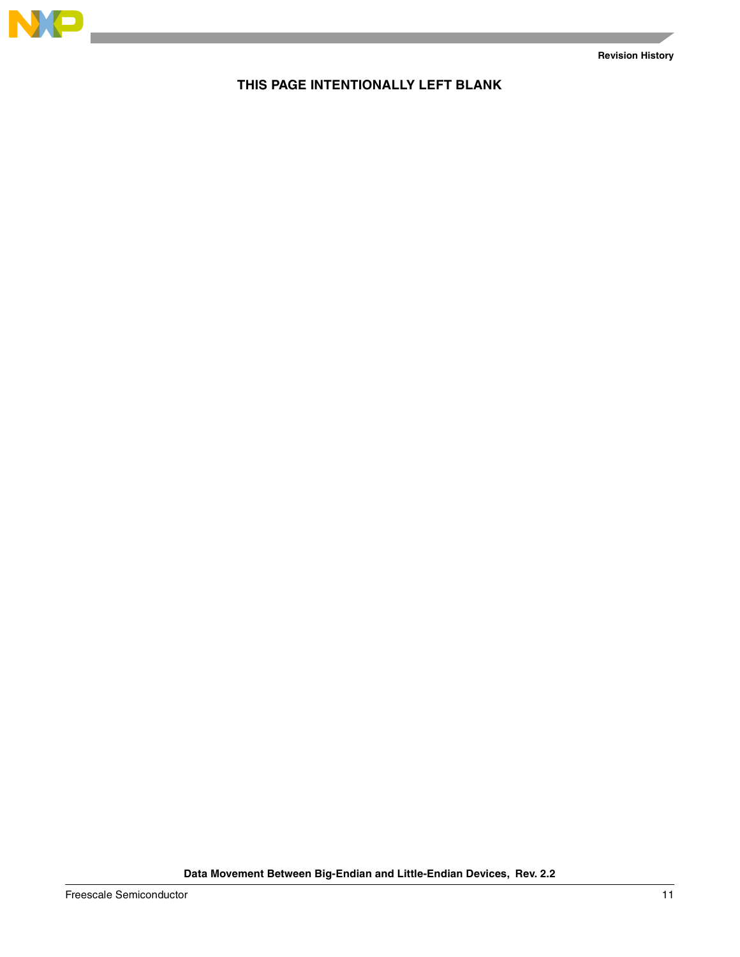

## **THIS PAGE INTENTIONALLY LEFT BLANK**